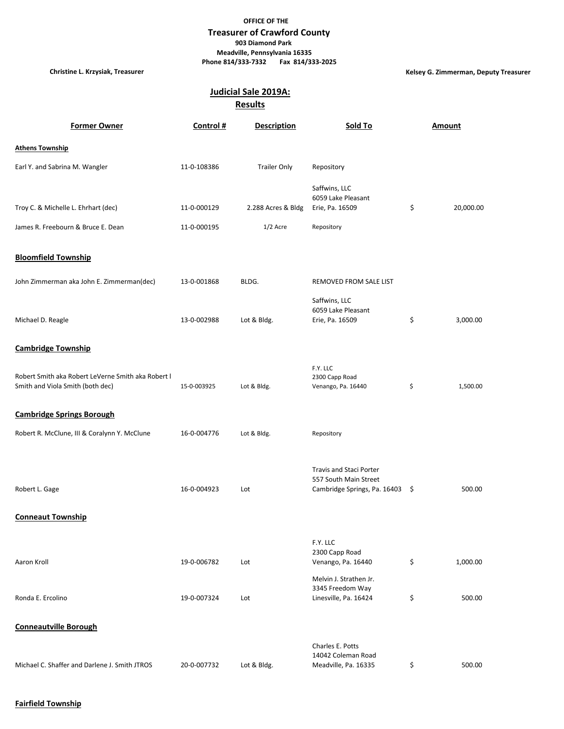## **OFFICE OF THE**

## **Treasurer of Crawford County 903 Diamond Park Meadville, Pennsylvania 16335 Phone 814/333-7332 Fax 814/333-2025**

**Christine L. Krzysiak, Treasurer Kelsey G. Zimmerman, Deputy Treasurer**

## **Judicial Sale 2019A:**

**Results**

| <b>Former Owner</b>                                                                    | Control #   | <b>Description</b>  | Sold To                                                                             | <b>Amount</b>   |
|----------------------------------------------------------------------------------------|-------------|---------------------|-------------------------------------------------------------------------------------|-----------------|
| <b>Athens Township</b>                                                                 |             |                     |                                                                                     |                 |
| Earl Y. and Sabrina M. Wangler                                                         | 11-0-108386 | <b>Trailer Only</b> | Repository                                                                          |                 |
| Troy C. & Michelle L. Ehrhart (dec)                                                    | 11-0-000129 | 2.288 Acres & Bldg  | Saffwins, LLC<br>6059 Lake Pleasant<br>Erie, Pa. 16509                              | \$<br>20,000.00 |
| James R. Freebourn & Bruce E. Dean                                                     | 11-0-000195 | $1/2$ Acre          | Repository                                                                          |                 |
| <b>Bloomfield Township</b>                                                             |             |                     |                                                                                     |                 |
| John Zimmerman aka John E. Zimmerman(dec)                                              | 13-0-001868 | BLDG.               | REMOVED FROM SALE LIST                                                              |                 |
| Michael D. Reagle                                                                      | 13-0-002988 | Lot & Bldg.         | Saffwins, LLC<br>6059 Lake Pleasant<br>Erie, Pa. 16509                              | \$<br>3,000.00  |
| <b>Cambridge Township</b>                                                              |             |                     |                                                                                     |                 |
| Robert Smith aka Robert LeVerne Smith aka Robert I<br>Smith and Viola Smith (both dec) | 15-0-003925 | Lot & Bldg.         | F.Y. LLC<br>2300 Capp Road<br>Venango, Pa. 16440                                    | \$<br>1,500.00  |
| <b>Cambridge Springs Borough</b>                                                       |             |                     |                                                                                     |                 |
| Robert R. McClune, III & Coralynn Y. McClune                                           | 16-0-004776 | Lot & Bldg.         | Repository                                                                          |                 |
| Robert L. Gage<br><b>Conneaut Township</b>                                             | 16-0-004923 | Lot                 | Travis and Staci Porter<br>557 South Main Street<br>Cambridge Springs, Pa. 16403 \$ | 500.00          |
|                                                                                        |             |                     | F.Y. LLC                                                                            |                 |
| Aaron Kroll                                                                            | 19-0-006782 | Lot                 | 2300 Capp Road<br>Venango, Pa. 16440                                                | \$<br>1,000.00  |
| Ronda E. Ercolino                                                                      | 19-0-007324 | Lot                 | Melvin J. Strathen Jr.<br>3345 Freedom Way<br>Linesville, Pa. 16424                 | \$<br>500.00    |
| <b>Conneautville Borough</b>                                                           |             |                     |                                                                                     |                 |
| Michael C. Shaffer and Darlene J. Smith JTROS                                          | 20-0-007732 | Lot & Bldg.         | Charles E. Potts<br>14042 Coleman Road<br>Meadville, Pa. 16335                      | \$<br>500.00    |

## **Fairfield Township**